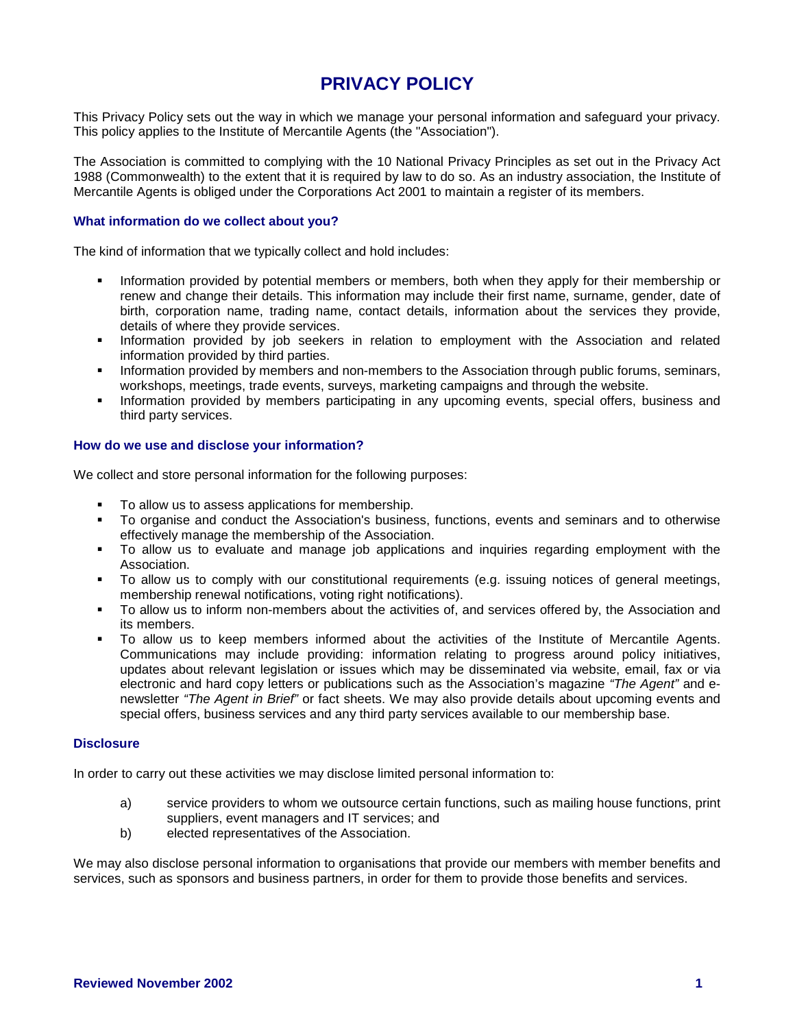# **PRIVACY POLICY**

This Privacy Policy sets out the way in which we manage your personal information and safeguard your privacy. This policy applies to the Institute of Mercantile Agents (the "Association").

The Association is committed to complying with the 10 National Privacy Principles as set out in the Privacy Act 1988 (Commonwealth) to the extent that it is required by law to do so. As an industry association, the Institute of Mercantile Agents is obliged under the Corporations Act 2001 to maintain a register of its members.

## **What information do we collect about you?**

The kind of information that we typically collect and hold includes:

- Information provided by potential members or members, both when they apply for their membership or renew and change their details. This information may include their first name, surname, gender, date of birth, corporation name, trading name, contact details, information about the services they provide, details of where they provide services.
- **Information provided by job seekers in relation to employment with the Association and related** information provided by third parties.
- **Information provided by members and non-members to the Association through public forums, seminars,** workshops, meetings, trade events, surveys, marketing campaigns and through the website.
- **Information provided by members participating in any upcoming events, special offers, business and** third party services.

### **How do we use and disclose your information?**

We collect and store personal information for the following purposes:

- To allow us to assess applications for membership.
- To organise and conduct the Association's business, functions, events and seminars and to otherwise effectively manage the membership of the Association.
- To allow us to evaluate and manage job applications and inquiries regarding employment with the Association.
- To allow us to comply with our constitutional requirements (e.g. issuing notices of general meetings, membership renewal notifications, voting right notifications).
- To allow us to inform non-members about the activities of, and services offered by, the Association and its members.
- To allow us to keep members informed about the activities of the Institute of Mercantile Agents. Communications may include providing: information relating to progress around policy initiatives, updates about relevant legislation or issues which may be disseminated via website, email, fax or via electronic and hard copy letters or publications such as the Association's magazine *"The Agent"* and enewsletter *"The Agent in Brief"* or fact sheets. We may also provide details about upcoming events and special offers, business services and any third party services available to our membership base.

## **Disclosure**

In order to carry out these activities we may disclose limited personal information to:

- a) service providers to whom we outsource certain functions, such as mailing house functions, print suppliers, event managers and IT services; and
- b) elected representatives of the Association.

We may also disclose personal information to organisations that provide our members with member benefits and services, such as sponsors and business partners, in order for them to provide those benefits and services.